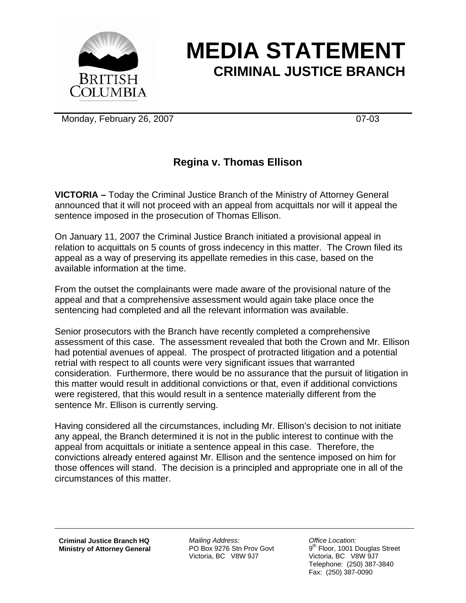

## **MEDIA STATEMENT CRIMINAL JUSTICE BRANCH**

Monday, February 26, 2007 07-03

## **Regina v. Thomas Ellison**

**VICTORIA –** Today the Criminal Justice Branch of the Ministry of Attorney General announced that it will not proceed with an appeal from acquittals nor will it appeal the sentence imposed in the prosecution of Thomas Ellison.

On January 11, 2007 the Criminal Justice Branch initiated a provisional appeal in relation to acquittals on 5 counts of gross indecency in this matter. The Crown filed its appeal as a way of preserving its appellate remedies in this case, based on the available information at the time.

From the outset the complainants were made aware of the provisional nature of the appeal and that a comprehensive assessment would again take place once the sentencing had completed and all the relevant information was available.

Senior prosecutors with the Branch have recently completed a comprehensive assessment of this case. The assessment revealed that both the Crown and Mr. Ellison had potential avenues of appeal. The prospect of protracted litigation and a potential retrial with respect to all counts were very significant issues that warranted consideration. Furthermore, there would be no assurance that the pursuit of litigation in this matter would result in additional convictions or that, even if additional convictions were registered, that this would result in a sentence materially different from the sentence Mr. Ellison is currently serving.

Having considered all the circumstances, including Mr. Ellison's decision to not initiate any appeal, the Branch determined it is not in the public interest to continue with the appeal from acquittals or initiate a sentence appeal in this case. Therefore, the convictions already entered against Mr. Ellison and the sentence imposed on him for those offences will stand. The decision is a principled and appropriate one in all of the circumstances of this matter.

**Criminal Justice Branch HQ Ministry of Attorney General**

*Mailing Address:*  PO Box 9276 Stn Prov Govt Victoria, BC V8W 9J7

*Office Location:*  9<sup>th</sup> Floor, 1001 Douglas Street Victoria, BC V8W 9J7 Telephone: (250) 387-3840 Fax: (250) 387-0090